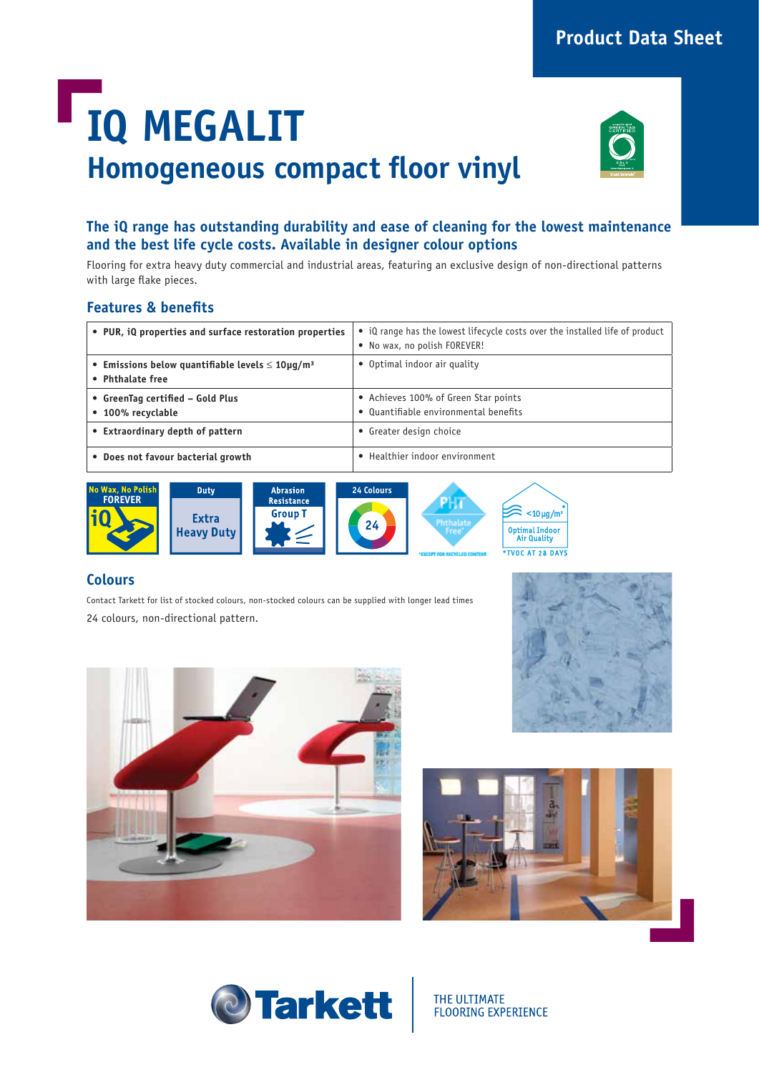## **Product Data Sheet**

# **IQ MEGALIT Homogeneous compact floor vinyl**



### **The iQ range has outstanding durability and ease of cleaning for the lowest maintenance and the best life cycle costs. Available in designer colour options**

Flooring for extra heavy duty commercial and industrial areas, featuring an exclusive design of non-directional patterns with large flake pieces.

#### **Features & benefits**

| • PUR, iQ properties and surface restoration properties                                  | • iQ range has the lowest lifecycle costs over the installed life of product<br>• No wax, no polish FOREVER! |
|------------------------------------------------------------------------------------------|--------------------------------------------------------------------------------------------------------------|
| • Emissions below quantifiable levels $\leq 10 \mu$ g/m <sup>3</sup><br>• Phthalate free | • Optimal indoor air quality                                                                                 |
| • GreenTag certified - Gold Plus<br>• 100% recyclable                                    | • Achieves 100% of Green Star points<br>• Quantifiable environmental benefits                                |
| • Extraordinary depth of pattern                                                         | • Greater design choice                                                                                      |
| • Does not favour bacterial growth                                                       | • Healthier indoor environment                                                                               |



#### **Colours**

Contact Tarkett for list of stocked colours, non-stocked colours can be supplied with longer lead times 24 colours, non-directional pattern.









THE ULTIMATE **FLOORING EXPERIENCE**